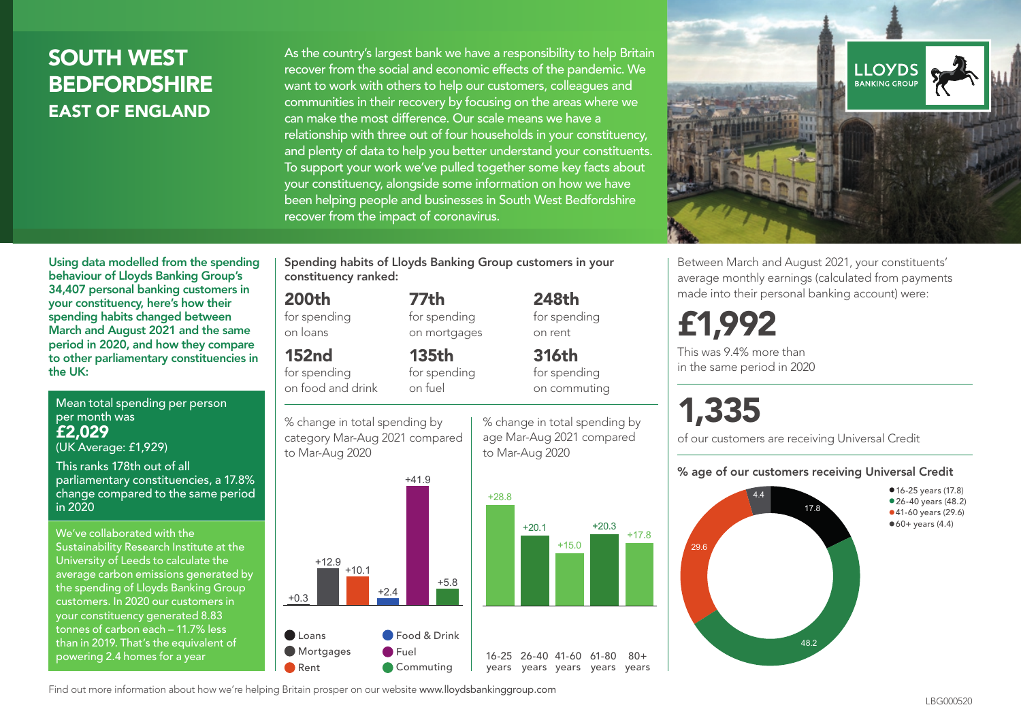## SOUTH WEST **BEDFORDSHIRE** EAST OF ENGLAND

As the country's largest bank we have a responsibility to help Britain recover from the social and economic effects of the pandemic. We want to work with others to help our customers, colleagues and communities in their recovery by focusing on the areas where we can make the most difference. Our scale means we have a relationship with three out of four households in your constituency, and plenty of data to help you better understand your constituents. To support your work we've pulled together some key facts about your constituency, alongside some information on how we have been helping people and businesses in South West Bedfordshire recover from the impact of coronavirus.



Between March and August 2021, your constituents' average monthly earnings (calculated from payments made into their personal banking account) were:

## £1,992

This was 9.4% more than in the same period in 2020

# 1,335

 $+20.3$  +17.8

 $80 +$ 

of our customers are receiving Universal Credit

#### % age of our customers receiving Universal Credit



Using data modelled from the spending behaviour of Lloyds Banking Group's 34,407 personal banking customers in your constituency, here's how their spending habits changed between March and August 2021 and the same period in 2020, and how they compare to other parliamentary constituencies in the UK:

Mean total spending per person per month was £2,029 (UK Average: £1,929)

This ranks 178th out of all parliamentary constituencies, a 17.8% change compared to the same period in 2020

We've collaborated with the Sustainability Research Institute at the University of Leeds to calculate the average carbon emissions generated by the spending of Lloyds Banking Group customers. In 2020 our customers in your constituency generated 8.83 tonnes of carbon each – 11.7% less than in 2019. That's the equivalent of powering 2.4 homes for a year

Spending habits of Lloyds Banking Group customers in your constituency ranked:

> 248th for spending on rent

316th for spending on commuting

## 200th

for spending on loans

## 152nd

for spending on food and drink

on fuel

category Mar-Aug 2021 compared to Mar-Aug 2020



% change in total spending by age Mar-Aug 2021 compared to Mar-Aug 2020 % change in total spending by

77th for spending on mortgages

135th for spending